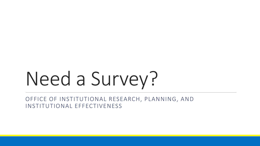# Need a Survey?

OFFICE OF INSTITUTIONAL RESEARCH, PLANNING, AND INSTITUTIONAL EFFECTIVENESS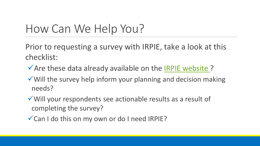# How Can We Help You?

Prior to requesting a survey with IRPIE, take a look at this checklist:

- $\sqrt{2}$  Are these data already available on the [IRPIE website ?](http://www.canyons.edu/data)
- Will the survey help inform your planning and decision making needs?
- Will your respondents see actionable results as a result of completing the survey?
- Can I do this on my own or do I need IRPIE?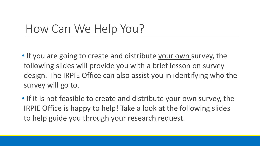# How Can We Help You?

- design. The IRPIE Office can also assist you in identifying who the • If you are going to create and distribute your own survey, the following slides will provide you with a brief lesson on survey survey will go to.
- • If it is not feasible to create and distribute your own survey, the IRPIE Office is happy to help! Take a look at the following slides to help guide you through your research request.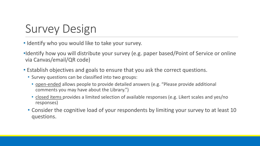# Survey Design

- Identify who you would like to take your survey.
- •Identify how you will distribute your survey (e.g. paper based/Point of Service or online via Canvas/email/QR code)
- • Establish objectives and goals to ensure that you ask the correct questions.
	- Survey questions can be classified into two groups:
		- open-ended allows people to provide detailed answers (e.g. "Please provide additional comments you may have about the Library.")
		- closed items provides a limited selection of available responses (e.g. Likert scales and yes/no responses)
	- • Consider the cognitive load of your respondents by limiting your survey to at least 10 questions.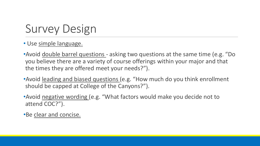# Survey Design

#### • Use simple language.

- •Avoid double barrel questions asking two questions at the same time (e.g. "Do you believe there are a variety of course offerings within your major and that the times they are offered meet your needs?").
- •Avoid leading and biased questions (e.g. "How much do you think enrollment should be capped at College of the Canyons?").
- •Avoid negative wording (e.g. "What factors would make you decide not to attend COC?").

•Be clear and concise.